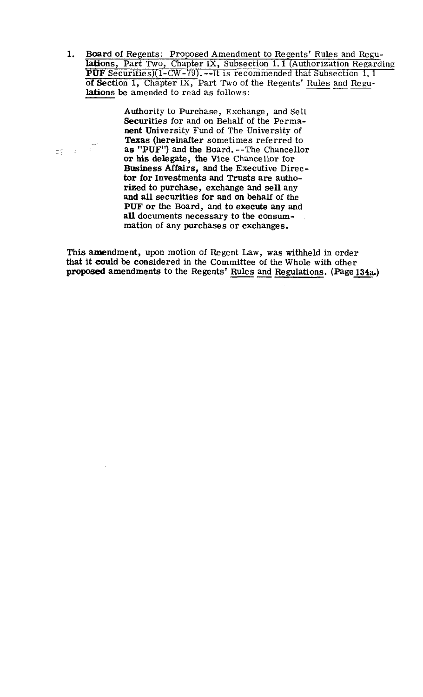Board of Regents: Proposed Amendment to Regents' Rules and Regu- $1.$ lations, Part Two, Chapter IX, Subsection 1.1 (Authorization Regarding PUF Securities)(l-CW-79). --It is recommended that Subsection 1, 1 of Section **1,** Chapter IX, Part Two of the Regents' Rules and Re gulations be amended to read as follows:

> Authority to Purchase, Exchange, and Sell Securities for and on Behalf of the Permanent University Fund of The University of Texas (hereinafter sometimes referred to as "PUF") and the Board. --The Chancellor or his delegate, the Vice Chancellor for Business Affairs, and the Executive Director for Investments and Trusts are authorized to purchase, exchange and sell any and **all** securities for and on behalf of the **PUF** or the Board, and to execute any and **all** documents necessary to the consummation of any purchases or exchanges.

 $\frac{1}{\sqrt{2}}\sum_{i=1}^{\infty}\frac{1}{\sqrt{2}}\left(\frac{1}{\sqrt{2}}\right)^{i}=\frac{1}{2}\sum_{i=1}^{\infty}\frac{1}{\sqrt{2}}$ 

This amendment, upon motion of Regent Law, was withheld in order that it could be considered in the Committee of the Whole with other mation of any purchases or exchanges.<br>This amendment, upon motion of Regent Law, was withheld in order<br>that it could be considered in the Committee of the Whole with other<br>proposed amendments to the Regents' <u>Rules and Reg</u>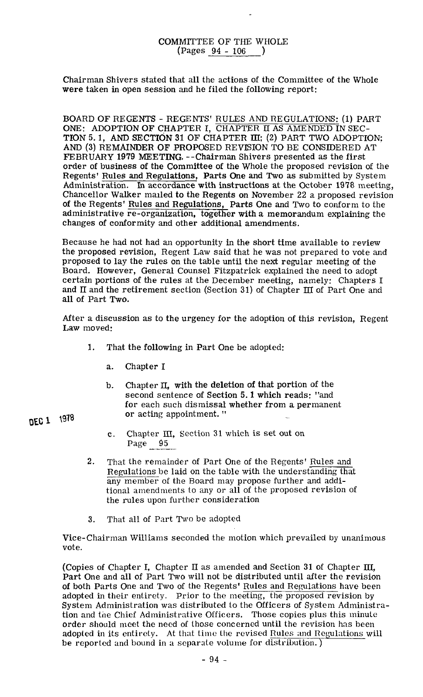## COMMITTEE OF TIE WHOLE (Pages 94 - 106 )

Chairman Shivers stated that all the actions of the Committee of the Whole were taken in open session and he filed the following report:

BOARD OF REGENTS - REGENTS' RULES AND REGULATIONS: (1) PART ONE: ADOPTION OF CHAPTER I. CHAPTER **II** AS AMENDED IN SEC-TION 5.1, AND SECTION 31 OF CHAPTER III; (2) PART TWO ADOPTION; AND (3) REMAINDER OF PROPOSED REVISION TO BE CONSIDERED AT FEBRUARY 1979 MEETING. --Chairman Shivers presented as the first order of business of the Committee of the Whole the proposed revision of the Regents' Rules and Regulations, Parts One and Two as submitted by System Administration. In accordance with instructions at the October 1978 meeting, Chancellor Walker mailed to the Regents on November 22 a proposed revision of the Regents' Rules and Regulations, Parts One and Two to conform to the administrative re-organization, together with a memorandum explaining the changes of conformity and other additional amendments.

Because he had not had an opportunity in the short time available to review the proposed revision, Regent Law said that he was not prepared to vote and proposed to lay the rules on the table until the next regular meeting of the Board. However, General Counsel Fitzpatrick explained the need to adopt certain portions of the rules at the December meeting, namely: Chapters I and **II** and the retirement section (Section 31) of Chapter III of Part One and all of Part Two.

After a discussion as to the urgency for the adoption of this revision, Regent Law moved:

- **1.** That the following in Part One be adopted:
	- a. Chapter I
	- b. Chapter II, with the deletion of that portion of the second sentence of Section 5.1 which reads: "and for each such dismissal whether from a permanent<br>or acting appointment. "
	- c. Chapter III, Section 31 which is set out on Page 95
- 2. That the remainder of Part One of the Regents' Rules and Regulations be laid on the table with the understanding that any member of the Board may propose further and additional amendments to any or all of the proposed revision of the rules upon further consideration
- 3. That all of Part Two be adopted

Vice-chairman Williams seconded the motion which prevailed **by** unanimous vote.

(Copies of Chapter I, Chapter **II** as amended and Section 31 of Chapter 111, Part One and all of Part Two will not be distributed until after the revision of both Parts One and Two of the Regents' Rules and Regulations have been adopted in their entirety. Prior to the meeting, the proposed revision by System Administration was distributed to the Officers of System Administration and the Chief Administrative Officers. Those copies plus this minute order should meet the need of those concerned until the revision has been adopted in its entirety. At that time the revised Rules and Regulations will be reported and bound in a separate volume for distribution.)

DEC 1 1978